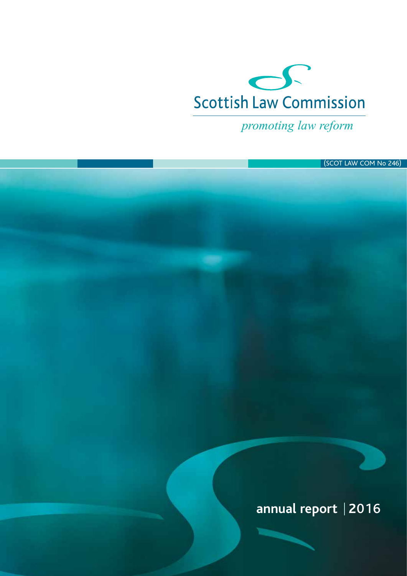

# *promoting law reform*

(SCOT LAW COM No 246)

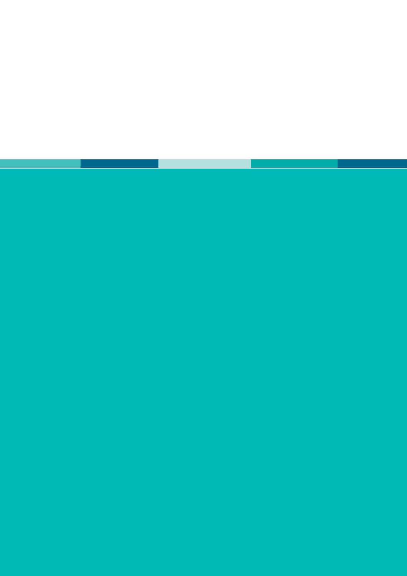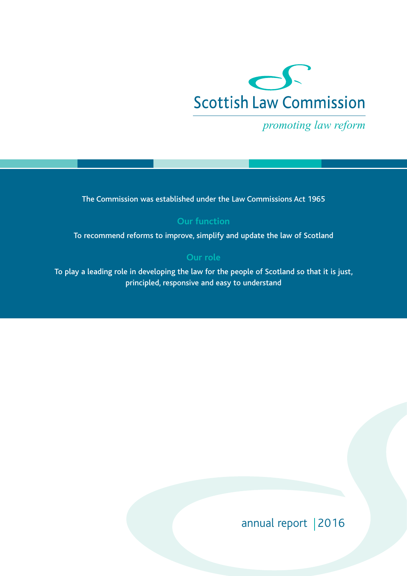

*promoting law reform*

The Commission was established under the Law Commissions Act 1965

### **Our function**

To recommend reforms to improve, simplify and update the law of Scotland

### **Our role**

To play a leading role in developing the law for the people of Scotland so that it is just, principled, responsive and easy to understand

# annual report | 2016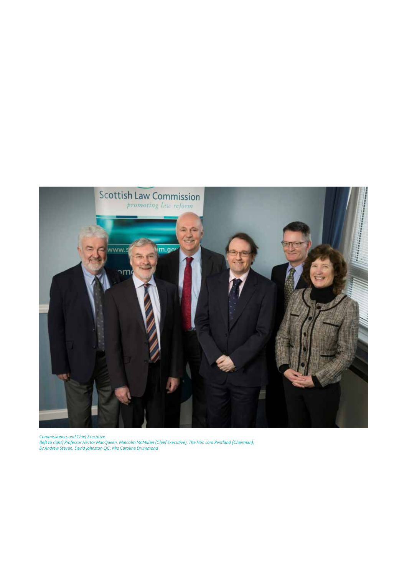

*Commissioners and Chief Executive* 

*(left to right) Professor Hector MacQueen, Malcolm McMillan (Chief Executive), The Hon Lord Pentland (Chairman), Dr Andrew Steven, David Johnston QC, Mrs Caroline Drummond*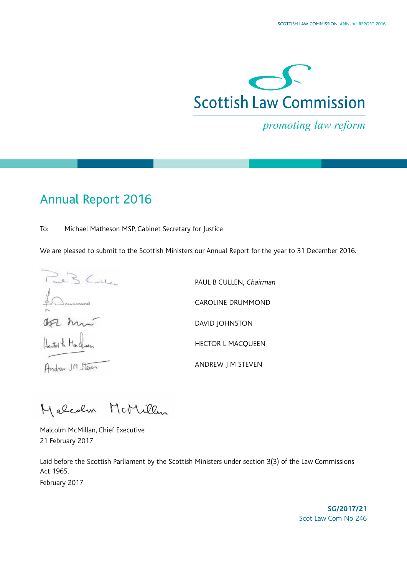

*promoting law reform*

# Annual Report 2016

To: Michael Matheson MSP, Cabinet Secretary for Justice

We are pleased to submit to the Scottish Ministers our Annual Report for the year to 31 December 2016.

Pue 3 Culler L<br>Dummand OF trum<br>Hertor & Hunder<br>Andrew JM Steven

PAUL B CULLEN, Chairman CAROLINE DRUMMOND DAVID JOHNSTON HECTOR L MACQUEEN ANDREW J M STEVEN

Malcolm McMillen

Malcolm McMillan, Chief Executive 21 February 2017

Laid before the Scottish Parliament by the Scottish Ministers under section 3(3) of the Law Commissions Act 1965.

February 2017

**SG/2017/21**  Scot Law Com No 246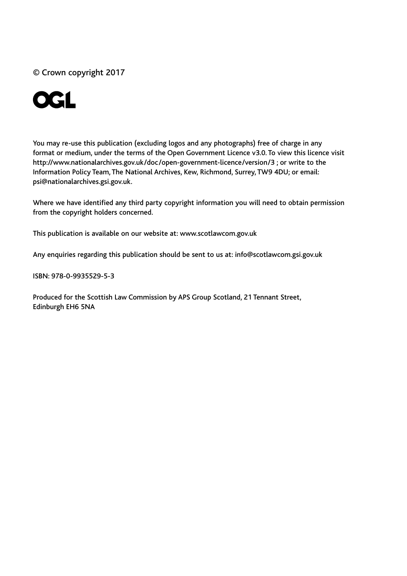© Crown copyright 2017



 Information Policy Team, The National Archives, Kew, Richmond, Surrey, TW9 4DU; or email: You may re-use this publication (excluding logos and any photographs) free of charge in any format or medium, under the terms of the Open Government Licence v3.0. To view this licence visit http://www.nationalarchives.gov.uk/doc/open-government-licence/version/3 ; or write to the psi@nationalarchives.gsi.gov.uk.

Where we have identified any third party copyright information you will need to obtain permission from the copyright holders concerned.

This publication is available on our website at: www.scotlawcom.gov.uk

Any enquiries regarding this publication should be sent to us at: info@scotlawcom.gsi.gov.uk

ISBN: 978-0-9935529-5-3

Produced for the Scottish Law Commission by APS Group Scotland, 21 Tennant Street,<br>Edinburgh EH6 5NA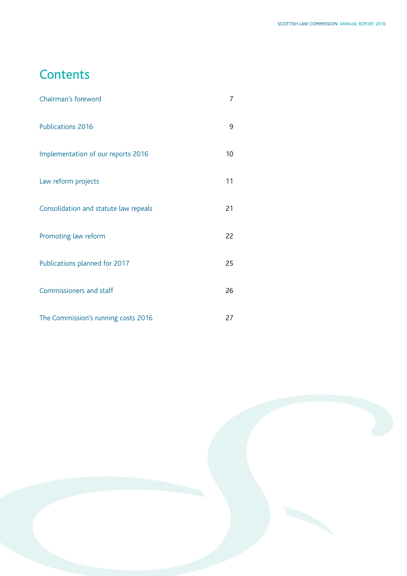# **Contents**

| Chairman's foreword                   | 7  |
|---------------------------------------|----|
| <b>Publications 2016</b>              | 9  |
| Implementation of our reports 2016    | 10 |
| Law reform projects                   | 11 |
| Consolidation and statute law repeals | 21 |
| Promoting law reform                  | 22 |
| Publications planned for 2017         | 25 |
| Commissioners and staff               | 26 |
| The Commission's running costs 2016   | 27 |

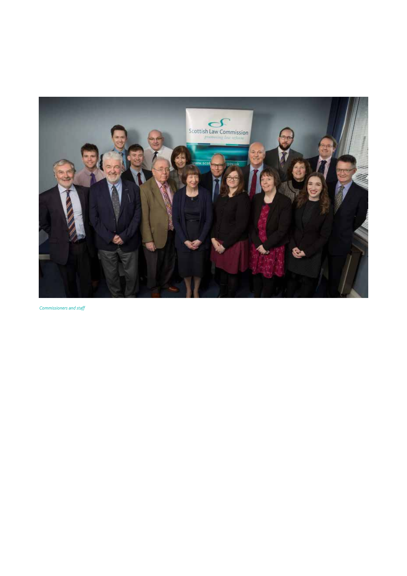

*Commissioners and staff*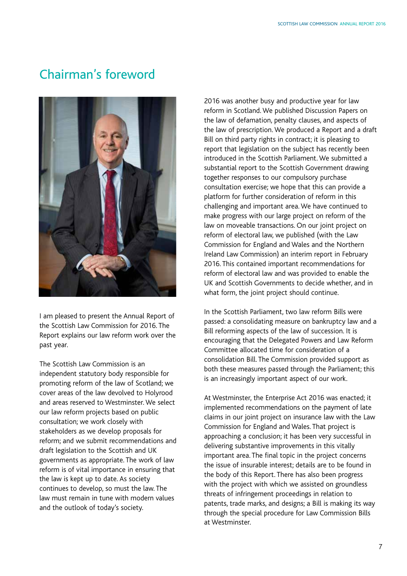# Chairman's foreword



2016 was another busy and productive year for law reform in Scotland. We published Discussion Papers on the law of defamation, penalty clauses, and aspects of the law of prescription. We produced a Report and a draft Bill on third party rights in contract; it is pleasing to report that legislation on the subject has recently been introduced in the Scottish Parliament. We submitted a substantial report to the Scottish Government drawing together responses to our compulsory purchase consultation exercise; we hope that this can provide a platform for further consideration of reform in this challenging and important area. We have continued to make progress with our large project on reform of the law on moveable transactions. On our joint project on reform of electoral law, we published (with the Law Commission for England and Wales and the Northern Ireland Law Commission) an interim report in February 2016. This contained important recommendations for reform of electoral law and was provided to enable the UK and Scottish Governments to decide whether, and in what form, the joint project should continue.

I am pleased to present the Annual Report of<br>
the Scottish Law Commission for 2016. The<br>
Report explains our law reform work over the<br>
past year.<br>
Past year.<br>
Past year.<br>
Past year.<br>
Past year.<br>
Past year.<br>
Past year.<br>
Pas The Scottish Law Commission is an<br>
independent statutory body responsible for<br>
promoting reform of the law of Scotland; we<br>
is an increasingly important aspect of our work.<br>
is an increasingly important aspect of our work.

patents, trade marks, and designs; a Bill is making its way Cover areas of the law devolved to Holyrood<br>
and areas reserved to Westminster. We select<br>
our law reform projects based on public<br>
consultation; we work closely with<br>
consultation; we work closely with<br>
consultation; we w at Westminster.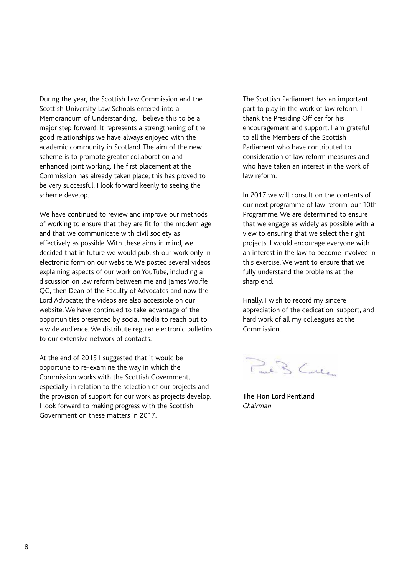During the year, the Scottish Law Commission and the Scottish University Law Schools entered into a Memorandum of Understanding. I believe this to be a major step forward. It represents a strengthening of the good relationships we have always enjoyed with the academic community in Scotland. The aim of the new scheme is to promote greater collaboration and enhanced joint working. The first placement at the Commission has already taken place; this has proved to be very successful. I look forward keenly to seeing the scheme develop.

We have continued to review and improve our methods of working to ensure that they are fit for the modern age and that we communicate with civil society as effectively as possible. With these aims in mind, we decided that in future we would publish our work only in electronic form on our website. We posted several videos explaining aspects of our work on YouTube, including a discussion on law reform between me and James Wolffe QC, then Dean of the Faculty of Advocates and now the Lord Advocate; the videos are also accessible on our website. We have continued to take advantage of the opportunities presented by social media to reach out to a wide audience. We distribute regular electronic bulletins to our extensive network of contacts.

At the end of 2015 I suggested that it would be opportune to re-examine the way in which the Commission works with the Scottish Government, especially in relation to the selection of our projects and the provision of support for our work as projects develop. I look forward to making progress with the Scottish Government on these matters in 2017.

The Scottish Parliament has an important part to play in the work of law reform. I thank the Presiding Officer for his encouragement and support. I am grateful to all the Members of the Scottish Parliament who have contributed to consideration of law reform measures and who have taken an interest in the work of law reform.

In 2017 we will consult on the contents of our next programme of law reform, our 10th Programme. We are determined to ensure that we engage as widely as possible with a view to ensuring that we select the right projects. I would encourage everyone with an interest in the law to become involved in this exercise. We want to ensure that we fully understand the problems at the sharp end.

 appreciation of the dedication, support, and Finally, I wish to record my sincere hard work of all my colleagues at the Commission.

Paul 3 Culle

The Hon Lord Pentland *Chairman*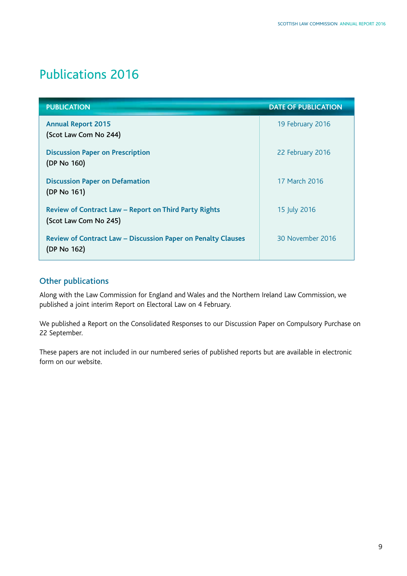# Publications 2016

| <b>PUBLICATION</b>                                                                 | <b>DATE OF PUBLICATION</b> |
|------------------------------------------------------------------------------------|----------------------------|
| <b>Annual Report 2015</b><br>(Scot Law Com No 244)                                 | 19 February 2016           |
| <b>Discussion Paper on Prescription</b><br>(DP No 160)                             | 22 February 2016           |
| <b>Discussion Paper on Defamation</b><br>(DP No 161)                               | 17 March 2016              |
| Review of Contract Law - Report on Third Party Rights<br>(Scot Law Com No 245)     | 15 July 2016               |
| <b>Review of Contract Law - Discussion Paper on Penalty Clauses</b><br>(DP No 162) | 30 November 2016           |

### Other publications

Along with the Law Commission for England and Wales and the Northern Ireland Law Commission, we published a joint interim Report on Electoral Law on 4 February.

We published a Report on the Consolidated Responses to our Discussion Paper on Compulsory Purchase on 22 September.

These papers are not included in our numbered series of published reports but are available in electronic form on our website.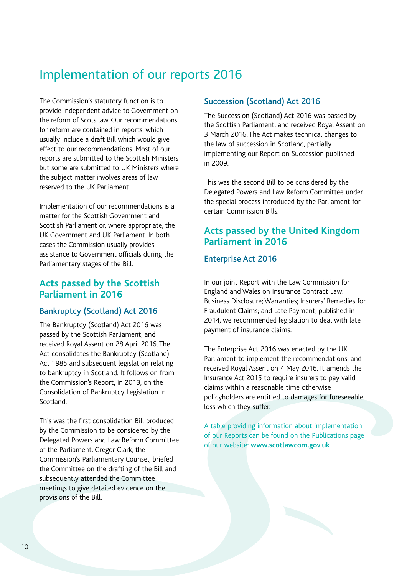# Implementation of our reports 2016

 for reform are contained in reports, which effect to our recommendations. Most of our The Commission's statutory function is to provide independent advice to Government on the reform of Scots law. Our recommendations usually include a draft Bill which would give reports are submitted to the Scottish Ministers but some are submitted to UK Ministers where the subject matter involves areas of law reserved to the UK Parliament.

 Scottish Parliament or, where appropriate, the UK Government and UK Parliament. In both Implementation of our recommendations is a matter for the Scottish Government and cases the Commission usually provides assistance to Government officials during the Parliamentary stages of the Bill.

### **Acts passed by the Scottish Parliament in 2016**

#### Bankruptcy (Scotland) Act 2016

 the Commission's Report, in 2013, on the The Bankruptcy (Scotland) Act 2016 was passed by the Scottish Parliament, and received Royal Assent on 28 April 2016. The Act consolidates the Bankruptcy (Scotland) Act 1985 and subsequent legislation relating to bankruptcy in Scotland. It follows on from Consolidation of Bankruptcy Legislation in **Scotland** 

This was the first consolidation Bill produced by the Commission to be considered by the Delegated Powers and Law Reform Committee of the Parliament. Gregor Clark, the Commission's Parliamentary Counsel, briefed the Committee on the drafting of the Bill and subsequently attended the Committee meetings to give detailed evidence on the provisions of the Bill.

#### Succession (Scotland) Act 2016

The Succession (Scotland) Act 2016 was passed by the Scottish Parliament, and received Royal Assent on 3 March 2016. The Act makes technical changes to the law of succession in Scotland, partially implementing our Report on Succession published in 2009.

This was the second Bill to be considered by the Delegated Powers and Law Reform Committee under the special process introduced by the Parliament for certain Commission Bills.

### **Acts passed by the United Kingdom Parliament in 2016**

#### Enterprise Act 2016

 Business Disclosure; Warranties; Insurers' Remedies for In our joint Report with the Law Commission for England and Wales on Insurance Contract Law: Fraudulent Claims; and Late Payment, published in 2014, we recommended legislation to deal with late payment of insurance claims.

The Enterprise Act 2016 was enacted by the UK Parliament to implement the recommendations, and received Royal Assent on 4 May 2016. It amends the Insurance Act 2015 to require insurers to pay valid claims within a reasonable time otherwise policyholders are entitled to damages for foreseeable loss which they suffer.

A table providing information about implementation of our Reports can be found on the Publications page of our website: **[www.scotlawcom.gov.uk](https://www.scotlawcom.gov.uk)**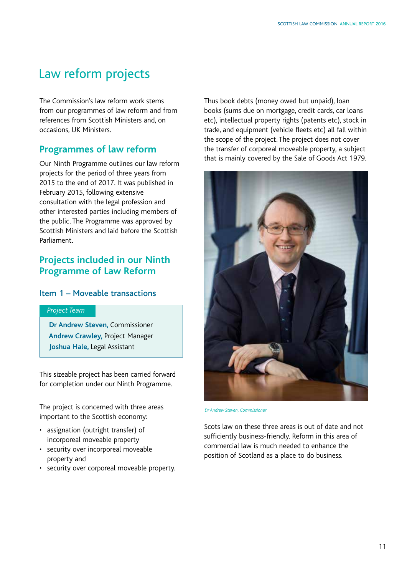# Law reform projects

The Commission's law reform work stems from our programmes of law reform and from references from Scottish Ministers and, on occasions, UK Ministers.

# **Programmes of law reform**

Our Ninth Programme outlines our law reform projects for the period of three years from 2015 to the end of 2017. It was published in February 2015, following extensive consultation with the legal profession and other interested parties including members of the public. The Programme was approved by Scottish Ministers and laid before the Scottish Parliament.

# **Projects included in our Ninth Programme of Law Reform**

#### Item 1 – Moveable transactions

#### *Project Team*

**Dr Andrew Steven,** Commissioner **Andrew Crawley,** Project Manager **Joshua Hale,** Legal Assistant

This sizeable project has been carried forward for completion under our Ninth Programme.

The project is concerned with three areas important to the Scottish economy:

- assignation (outright transfer) of incorporeal moveable property
- security over incorporeal moveable property and
- security over corporeal moveable property.

 books (sums due on mortgage, credit cards, car loans Thus book debts (money owed but unpaid), loan etc), intellectual property rights (patents etc), stock in trade, and equipment (vehicle fleets etc) all fall within the scope of the project. The project does not cover the transfer of corporeal moveable property, a subject that is mainly covered by the Sale of Goods Act 1979.



*Dr Andrew Steven, Commissioner* 

Scots law on these three areas is out of date and not sufficiently business-friendly. Reform in this area of commercial law is much needed to enhance the position of Scotland as a place to do business.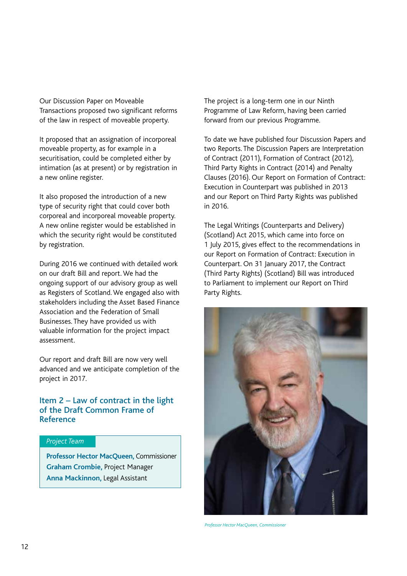Our Discussion Paper on Moveable Transactions proposed two significant reforms of the law in respect of moveable property.

It proposed that an assignation of incorporeal moveable property, as for example in a securitisation, could be completed either by intimation (as at present) or by registration in a new online register.

It also proposed the introduction of a new type of security right that could cover both corporeal and incorporeal moveable property. A new online register would be established in which the security right would be constituted by registration.

During 2016 we continued with detailed work on our draft Bill and report. We had the ongoing support of our advisory group as well as Registers of Scotland. We engaged also with stakeholders including the Asset Based Finance Association and the Federation of Small Businesses. They have provided us with valuable information for the project impact assessment.

Our report and draft Bill are now very well advanced and we anticipate completion of the project in 2017.

#### Item 2 – Law of contract in the light of the Draft Common Frame of Reference

#### *Project Team*

**Professor Hector MacQueen,** Commissioner **Graham Crombie,** Project Manager **Anna Mackinnon,** Legal Assistant

The project is a long-term one in our Ninth Programme of Law Reform, having been carried forward from our previous Programme.

 and our Report on Third Party Rights was published To date we have published four Discussion Papers and two Reports. The Discussion Papers are Interpretation of Contract (2011), Formation of Contract (2012), Third Party Rights in Contract (2014) and Penalty Clauses (2016). Our Report on Formation of Contract: Execution in Counterpart was published in 2013 in 2016.

 (Third Party Rights) (Scotland) Bill was introduced The Legal Writings (Counterparts and Delivery) (Scotland) Act 2015, which came into force on 1 July 2015, gives effect to the recommendations in our Report on Formation of Contract: Execution in Counterpart. On 31 January 2017, the Contract to Parliament to implement our Report on Third Party Rights.



*Professor Hector MacQueen, Commissioner*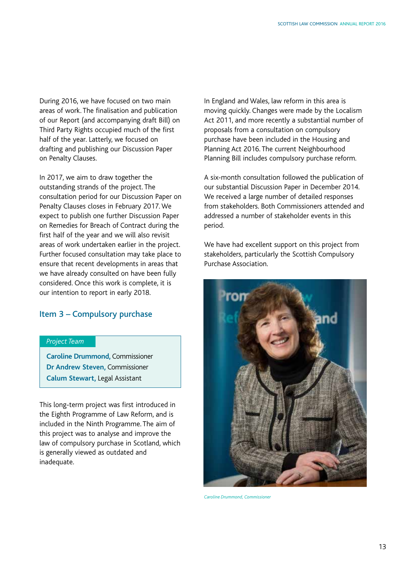half of the year. Latterly, we focused on During 2016, we have focused on two main areas of work. The finalisation and publication of our Report (and accompanying draft Bill) on Third Party Rights occupied much of the first drafting and publishing our Discussion Paper on Penalty Clauses.

In 2017, we aim to draw together the outstanding strands of the project. The consultation period for our Discussion Paper on Penalty Clauses closes in February 2017. We expect to publish one further Discussion Paper on Remedies for Breach of Contract during the first half of the year and we will also revisit areas of work undertaken earlier in the project. Further focused consultation may take place to ensure that recent developments in areas that we have already consulted on have been fully considered. Once this work is complete, it is our intention to report in early 2018.

### Item 3 – Compulsory purchase

#### *Project Team*

**Caroline Drummond,** Commissioner **Dr Andrew Steven,** Commissioner **Calum Stewart,** Legal Assistant

This long-term project was first introduced in the Eighth Programme of Law Reform, and is included in the Ninth Programme. The aim of this project was to analyse and improve the law of compulsory purchase in Scotland, which is generally viewed as outdated and inadequate.

In England and Wales, law reform in this area is moving quickly. Changes were made by the Localism Act 2011, and more recently a substantial number of proposals from a consultation on compulsory purchase have been included in the Housing and Planning Act 2016. The current Neighbourhood Planning Bill includes compulsory purchase reform.

A six-month consultation followed the publication of our substantial Discussion Paper in December 2014. We received a large number of detailed responses from stakeholders. Both Commissioners attended and addressed a number of stakeholder events in this period.

We have had excellent support on this project from stakeholders, particularly the Scottish Compulsory Purchase Association.



*Caroline Drummond, Commissioner*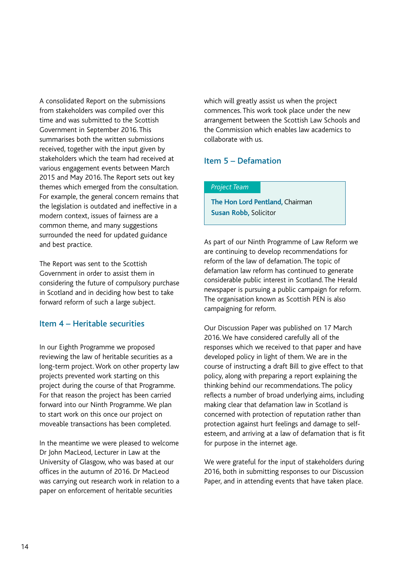A consolidated Report on the submissions from stakeholders was compiled over this time and was submitted to the Scottish Government in September 2016. This summarises both the written submissions received, together with the input given by stakeholders which the team had received at various engagement events between March 2015 and May 2016. The Report sets out key themes which emerged from the consultation. For example, the general concern remains that the legislation is outdated and ineffective in a modern context, issues of fairness are a common theme, and many suggestions surrounded the need for updated guidance and best practice.

The Report was sent to the Scottish Government in order to assist them in considering the future of compulsory purchase in Scotland and in deciding how best to take forward reform of such a large subject.

#### Item 4 – Heritable securities

In our Eighth Programme we proposed reviewing the law of heritable securities as a long-term project. Work on other property law projects prevented work starting on this project during the course of that Programme. For that reason the project has been carried forward into our Ninth Programme. We plan to start work on this once our project on moveable transactions has been completed.

In the meantime we were pleased to welcome Dr John MacLeod, Lecturer in Law at the University of Glasgow, who was based at our offices in the autumn of 2016. Dr MacLeod was carrying out research work in relation to a paper on enforcement of heritable securities

which will greatly assist us when the project commences. This work took place under the new arrangement between the Scottish Law Schools and the Commission which enables law academics to collaborate with us.

### Item 5 – Defamation

#### *Project Team*

**The Hon Lord Pentland,** Chairman **Susan Robb,** Solicitor

As part of our Ninth Programme of Law Reform we are continuing to develop recommendations for reform of the law of defamation. The topic of defamation law reform has continued to generate considerable public interest in Scotland. The Herald newspaper is pursuing a public campaign for reform. The organisation known as Scottish PEN is also campaigning for reform.

Our Discussion Paper was published on 17 March 2016. We have considered carefully all of the responses which we received to that paper and have developed policy in light of them. We are in the course of instructing a draft Bill to give effect to that policy, along with preparing a report explaining the thinking behind our recommendations. The policy reflects a number of broad underlying aims, including making clear that defamation law in Scotland is concerned with protection of reputation rather than protection against hurt feelings and damage to selfesteem, and arriving at a law of defamation that is fit for purpose in the internet age.

We were grateful for the input of stakeholders during 2016, both in submitting responses to our Discussion Paper, and in attending events that have taken place.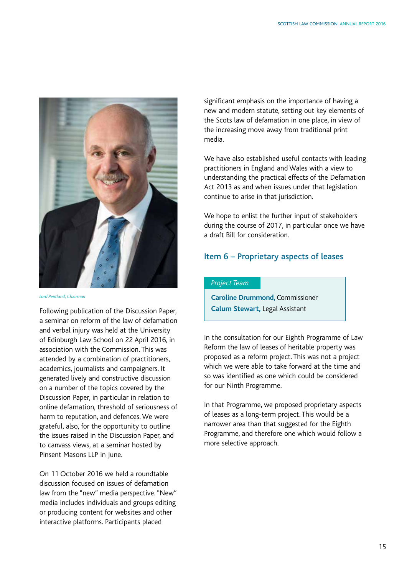

*Lord Pentland, Chairman* 

 grateful, also, for the opportunity to outline Following publication of the Discussion Paper, a seminar on reform of the law of defamation and verbal injury was held at the University of Edinburgh Law School on 22 April 2016, in association with the Commission. This was attended by a combination of practitioners, academics, journalists and campaigners. It generated lively and constructive discussion on a number of the topics covered by the Discussion Paper, in particular in relation to online defamation, threshold of seriousness of harm to reputation, and defences. We were the issues raised in the Discussion Paper, and to canvass views, at a seminar hosted by Pinsent Masons LLP in June.

 law from the "new" media perspective. "New" On 11 October 2016 we held a roundtable discussion focused on issues of defamation media includes individuals and groups editing or producing content for websites and other interactive platforms. Participants placed

significant emphasis on the importance of having a new and modern statute, setting out key elements of the Scots law of defamation in one place, in view of the increasing move away from traditional print media.

We have also established useful contacts with leading practitioners in England and Wales with a view to understanding the practical effects of the Defamation Act 2013 as and when issues under that legislation continue to arise in that jurisdiction.

We hope to enlist the further input of stakeholders during the course of 2017, in particular once we have a draft Bill for consideration.

### Item 6 – Proprietary aspects of leases

#### *Project Team*

**Caroline Drummond,** Commissioner **Calum Stewart,** Legal Assistant

In the consultation for our Eighth Programme of Law Reform the law of leases of heritable property was proposed as a reform project. This was not a project which we were able to take forward at the time and so was identified as one which could be considered for our Ninth Programme.

In that Programme, we proposed proprietary aspects of leases as a long-term project. This would be a narrower area than that suggested for the Eighth Programme, and therefore one which would follow a more selective approach.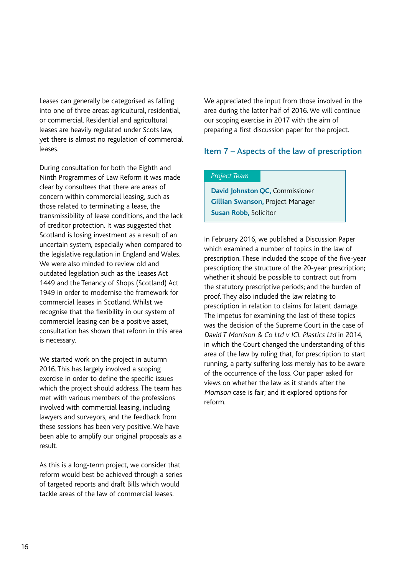into one of three areas: agricultural, residential, Leases can generally be categorised as falling or commercial. Residential and agricultural leases are heavily regulated under Scots law, yet there is almost no regulation of commercial leases.

During consultation for both the Eighth and Ninth Programmes of Law Reform it was made clear by consultees that there are areas of concern within commercial leasing, such as those related to terminating a lease, the transmissibility of lease conditions, and the lack of creditor protection. It was suggested that Scotland is losing investment as a result of an uncertain system, especially when compared to the legislative regulation in England and Wales. We were also minded to review old and outdated legislation such as the Leases Act 1449 and the Tenancy of Shops (Scotland) Act 1949 in order to modernise the framework for commercial leases in Scotland. Whilst we recognise that the flexibility in our system of commercial leasing can be a positive asset, consultation has shown that reform in this area is necessary.

We started work on the project in autumn 2016. This has largely involved a scoping exercise in order to define the specific issues which the project should address. The team has met with various members of the professions involved with commercial leasing, including lawyers and surveyors, and the feedback from these sessions has been very positive. We have been able to amplify our original proposals as a result.

As this is a long-term project, we consider that reform would best be achieved through a series of targeted reports and draft Bills which would tackle areas of the law of commercial leases.

We appreciated the input from those involved in the area during the latter half of 2016. We will continue our scoping exercise in 2017 with the aim of preparing a first discussion paper for the project.

### Item 7 – Aspects of the law of prescription

#### *Project Team*

**David Johnston QC,** Commissioner **Gillian Swanson,** Project Manager **Susan Robb,** Solicitor

 David T Morrison & Co Ltd v ICL Plastics Ltd in 2014, Morrison case is fair; and it explored options for In February 2016, we published a Discussion Paper which examined a number of topics in the law of prescription. These included the scope of the five-year prescription; the structure of the 20-year prescription; whether it should be possible to contract out from the statutory prescriptive periods; and the burden of proof. They also included the law relating to prescription in relation to claims for latent damage. The impetus for examining the last of these topics was the decision of the Supreme Court in the case of in which the Court changed the understanding of this area of the law by ruling that, for prescription to start running, a party suffering loss merely has to be aware of the occurrence of the loss. Our paper asked for views on whether the law as it stands after the reform.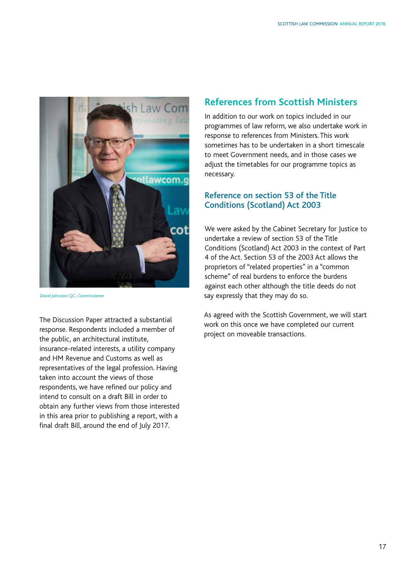

*David Johnston QC, Commissioner* 

The Discussion Paper attracted a substantial response. Respondents included a member of the public, an architectural institute, insurance-related interests, a utility company and HM Revenue and Customs as well as representatives of the legal profession. Having taken into account the views of those respondents, we have refined our policy and intend to consult on a draft Bill in order to obtain any further views from those interested in this area prior to publishing a report, with a final draft Bill, around the end of July 2017.

# **References from Scottish Ministers**

In addition to our work on topics included in our programmes of law reform, we also undertake work in response to references from Ministers. This work sometimes has to be undertaken in a short timescale to meet Government needs, and in those cases we adjust the timetables for our programme topics as necessary.

### Reference on section 53 of the Title Conditions (Scotland) Act 2003

We were asked by the Cabinet Secretary for Justice to undertake a review of section 53 of the Title Conditions (Scotland) Act 2003 in the context of Part 4 of the Act. Section 53 of the 2003 Act allows the proprietors of "related properties" in a "common scheme" of real burdens to enforce the burdens against each other although the title deeds do not say expressly that they may do so.

As agreed with the Scottish Government, we will start work on this once we have completed our current project on moveable transactions.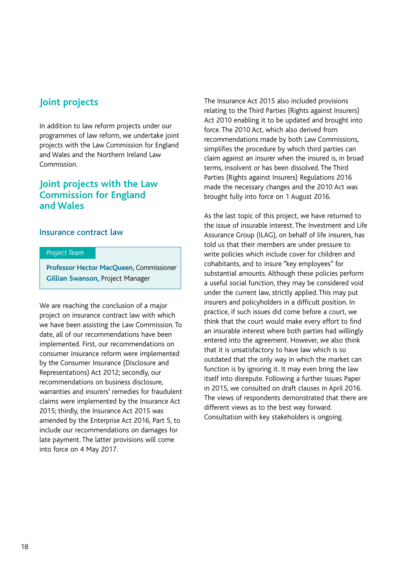# **Joint projects**

In addition to law reform projects under our programmes of law reform, we undertake joint projects with the Law Commission for England and Wales and the Northern Ireland Law Commission.

### **Joint projects with the Law Commission for England and Wales**

#### Insurance contract law

#### *Project Team*

**Professor Hector MacQueen,** Commissioner **Gillian Swanson,** Project Manager

 Representations) Act 2012; secondly, our 2015; thirdly, the Insurance Act 2015 was amended by the Enterprise Act 2016, Part 5, to We are reaching the conclusion of a major project on insurance contract law with which we have been assisting the Law Commission. To date, all of our recommendations have been implemented. First, our recommendations on consumer insurance reform were implemented by the Consumer Insurance (Disclosure and recommendations on business disclosure, warranties and insurers' remedies for fraudulent claims were implemented by the Insurance Act include our recommendations on damages for late payment. The latter provisions will come into force on 4 May 2017.

The Insurance Act 2015 also included provisions relating to the Third Parties (Rights against Insurers) Act 2010 enabling it to be updated and brought into force. The 2010 Act, which also derived from recommendations made by both Law Commissions, simplifies the procedure by which third parties can claim against an insurer when the insured is, in broad terms, insolvent or has been dissolved. The Third Parties (Rights against Insurers) Regulations 2016 made the necessary changes and the 2010 Act was brought fully into force on 1 August 2016.

 entered into the agreement. However, we also think As the last topic of this project, we have returned to the issue of insurable interest. The Investment and Life Assurance Group (ILAG), on behalf of life insurers, has told us that their members are under pressure to write policies which include cover for children and cohabitants, and to insure "key employees" for substantial amounts. Although these policies perform a useful social function, they may be considered void under the current law, strictly applied. This may put insurers and policyholders in a difficult position. In practice, if such issues did come before a court, we think that the court would make every effort to find an insurable interest where both parties had willingly that it is unsatisfactory to have law which is so outdated that the only way in which the market can function is by ignoring it. It may even bring the law itself into disrepute. Following a further Issues Paper in 2015, we consulted on draft clauses in April 2016. The views of respondents demonstrated that there are different views as to the best way forward. Consultation with key stakeholders is ongoing.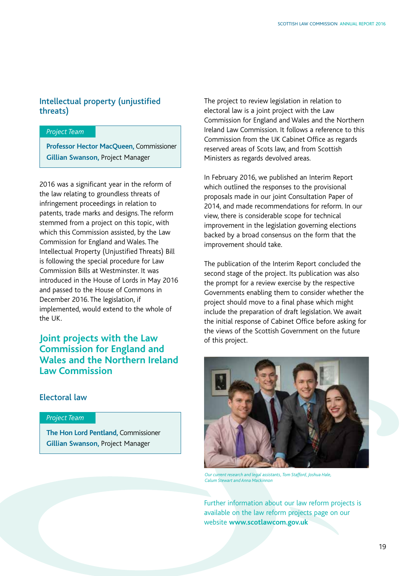#### Intellectual property (unjustified threats)

#### *Project Team*

**Professor Hector MacQueen,** Commissioner **Gillian Swanson,** Project Manager

2016 was a significant year in the reform of the law relating to groundless threats of infringement proceedings in relation to patents, trade marks and designs. The reform stemmed from a project on this topic, with which this Commission assisted, by the Law Commission for England and Wales. The Intellectual Property (Unjustified Threats) Bill is following the special procedure for Law Commission Bills at Westminster. It was introduced in the House of Lords in May 2016 and passed to the House of Commons in December 2016. The legislation, if implemented, would extend to the whole of the UK.

### **Joint projects with the Law Commission for England and Wales and the Northern Ireland Law Commission**

#### Electoral law

#### *Project Team*

**The Hon Lord Pentland,** Commissioner **Gillian Swanson,** Project Manager

The project to review legislation in relation to electoral law is a joint project with the Law Commission for England and Wales and the Northern Ireland Law Commission. It follows a reference to this Commission from the UK Cabinet Office as regards reserved areas of Scots law, and from Scottish Ministers as regards devolved areas.

In February 2016, we published an Interim Report which outlined the responses to the provisional proposals made in our joint Consultation Paper of 2014, and made recommendations for reform. In our view, there is considerable scope for technical improvement in the legislation governing elections backed by a broad consensus on the form that the improvement should take.

The publication of the Interim Report concluded the second stage of the project. Its publication was also the prompt for a review exercise by the respective Governments enabling them to consider whether the project should move to a final phase which might include the preparation of draft legislation. We await the initial response of Cabinet Office before asking for the views of the Scottish Government on the future of this project.



*Our current research and legal assistants, Tom Stafford, Joshua Hale, Calum Stewart and Anna Mackinnon* 

Further information about our law reform projects is available on the law reform projects page on our website **www.scotlawcom.gov.uk**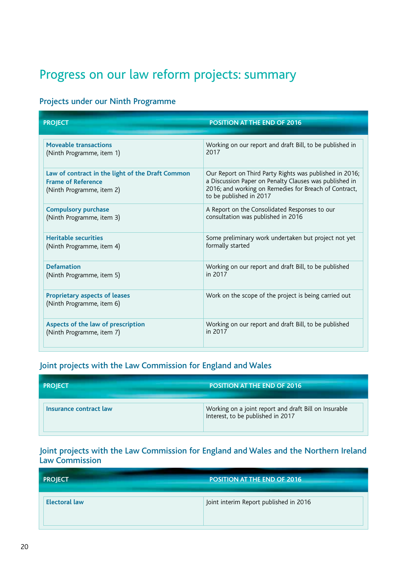# Progress on our law reform projects: summary

### Projects under our Ninth Programme

| <b>POSITION AT THE END OF 2016</b><br><b>PROJECT</b>                                                       |                                                                                                                                                                                                       |
|------------------------------------------------------------------------------------------------------------|-------------------------------------------------------------------------------------------------------------------------------------------------------------------------------------------------------|
| <b>Moveable transactions</b>                                                                               | Working on our report and draft Bill, to be published in                                                                                                                                              |
| (Ninth Programme, item 1)                                                                                  | 2017                                                                                                                                                                                                  |
| Law of contract in the light of the Draft Common<br><b>Frame of Reference</b><br>(Ninth Programme, item 2) | Our Report on Third Party Rights was published in 2016;<br>a Discussion Paper on Penalty Clauses was published in<br>2016; and working on Remedies for Breach of Contract,<br>to be published in 2017 |
| <b>Compulsory purchase</b>                                                                                 | A Report on the Consolidated Responses to our                                                                                                                                                         |
| (Ninth Programme, item 3)                                                                                  | consultation was published in 2016                                                                                                                                                                    |
| <b>Heritable securities</b>                                                                                | Some preliminary work undertaken but project not yet                                                                                                                                                  |
| (Ninth Programme, item 4)                                                                                  | formally started                                                                                                                                                                                      |
| <b>Defamation</b>                                                                                          | Working on our report and draft Bill, to be published                                                                                                                                                 |
| (Ninth Programme, item 5)                                                                                  | in 2017                                                                                                                                                                                               |
| <b>Proprietary aspects of leases</b><br>(Ninth Programme, item 6)                                          | Work on the scope of the project is being carried out                                                                                                                                                 |
| Aspects of the law of prescription                                                                         | Working on our report and draft Bill, to be published                                                                                                                                                 |
| (Ninth Programme, item 7)                                                                                  | in 2017                                                                                                                                                                                               |

# Joint projects with the Law Commission for England and Wales

| <b>PROJECT</b>         | <b>POSITION AT THE END OF 2016</b>                                                         |  |
|------------------------|--------------------------------------------------------------------------------------------|--|
| Insurance contract law | Working on a joint report and draft Bill on Insurable<br>Interest, to be published in 2017 |  |

Joint projects with the Law Commission for England and Wales and the Northern Ireland Law Commission

| <b>PROJECT</b>       | <b>POSITION AT THE END OF 2016</b>     |
|----------------------|----------------------------------------|
| <b>Electoral law</b> | Joint interim Report published in 2016 |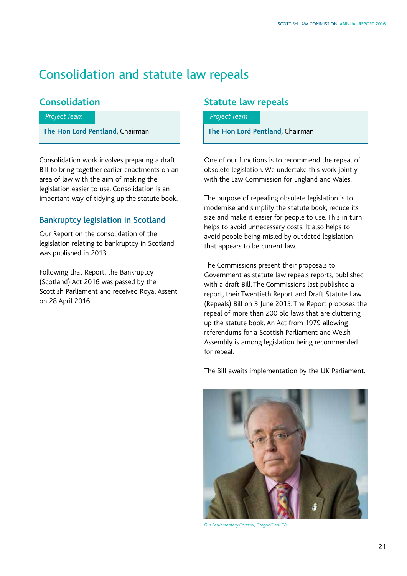# Consolidation and statute law repeals

*Project Team* 

**The Hon Lord Pentland,** Chairman

Consolidation work involves preparing a draft Bill to bring together earlier enactments on an area of law with the aim of making the legislation easier to use. Consolidation is an important way of tidying up the statute book.

### Bankruptcy legislation in Scotland

Our Report on the consolidation of the legislation relating to bankruptcy in Scotland was published in 2013.

Following that Report, the Bankruptcy (Scotland) Act 2016 was passed by the Scottish Parliament and received Royal Assent on 28 April 2016.

### **Consolidation Statute law repeals**

*Project Team* 

**The Hon Lord Pentland,** Chairman

One of our functions is to recommend the repeal of obsolete legislation. We undertake this work jointly with the Law Commission for England and Wales.

The purpose of repealing obsolete legislation is to modernise and simplify the statute book, reduce its size and make it easier for people to use. This in turn helps to avoid unnecessary costs. It also helps to avoid people being misled by outdated legislation that appears to be current law.

The Commissions present their proposals to Government as statute law repeals reports, published with a draft Bill. The Commissions last published a report, their Twentieth Report and Draft Statute Law (Repeals) Bill on 3 June 2015. The Report proposes the repeal of more than 200 old laws that are cluttering up the statute book. An Act from 1979 allowing referendums for a Scottish Parliament and Welsh Assembly is among legislation being recommended for repeal.

The Bill awaits implementation by the UK Parliament.



*Our Parliamentary Counsel, Gregor Clark CB*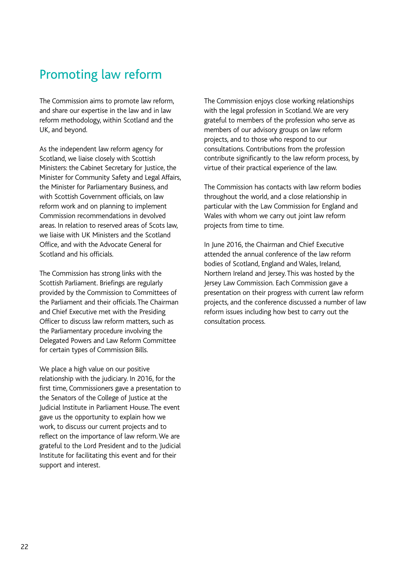# Promoting law reform

Ministers: the Cabinet Secretary for Justice, the virtue of their practical experience of the law. the Minister for Parliamentary Business, and with Scottish Government officials, on law As the independent law reform agency for consultations. Contributions from the profession Minister for Community Safety and Legal Affairs, areas. In relation to reserved areas of Scots law, projects from time to time. we liaise with UK Ministers and the Scotland Office, and with the Advocate General for In June 2016, the Chairman and Chief Executive

Officer to discuss law reform matters, such as consultation process. the Parliamentary procedure involving the Delegated Powers and Law Reform Committee for certain types of Commission Bills.

 relationship with the judiciary. In 2016, for the Judicial Institute in Parliament House. The event reflect on the importance of law reform. We are We place a high value on our positive first time, Commissioners gave a presentation to the Senators of the College of Justice at the gave us the opportunity to explain how we work, to discuss our current projects and to grateful to the Lord President and to the Judicial Institute for facilitating this event and for their support and interest.

and share our expertise in the law and in law with the legal profession in Scotland. We are very Scotland, we liaise closely with Scottish contribute significantly to the law reform process, by The Commission aims to promote law reform, The Commission enjoys close working relationships reform methodology, within Scotland and the grateful to members of the profession who serve as UK, and beyond. The members of our advisory groups on law reform projects, and to those who respond to our

The Commission has contacts with law reform bodies throughout the world, and a close relationship in reform work and on planning to implement particular with the Law Commission for England and Commission recommendations in devolved Wales with whom we carry out joint law reform

 bodies of Scotland, England and Wales, Ireland, Scotland and his officials. attended the annual conference of the law reform The Commission has strong links with the Northern Ireland and Jersey. This was hosted by the Scottish Parliament. Briefings are regularly Jersey Law Commission. Each Commission gave a provided by the Commission to Committees of presentation on their progress with current law reform the Parliament and their officials. The Chairman projects, and the conference discussed a number of law and Chief Executive met with the Presiding reform issues including how best to carry out the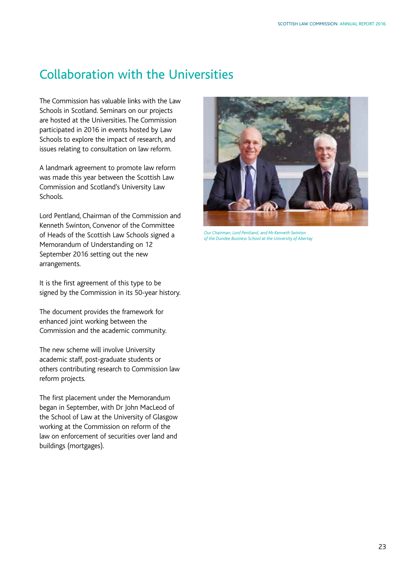# Collaboration with the Universities

 Schools to explore the impact of research, and The Commission has valuable links with the Law Schools in Scotland. Seminars on our projects are hosted at the Universities. The Commission participated in 2016 in events hosted by Law issues relating to consultation on law reform.

A landmark agreement to promote law reform was made this year between the Scottish Law Commission and Scotland's University Law Schools.

Lord Pentland, Chairman of the Commission and Kenneth Swinton, Convenor of the Committee of Heads of the Scottish Law Schools signed a Memorandum of Understanding on 12 September 2016 setting out the new arrangements.

It is the first agreement of this type to be signed by the Commission in its 50-year history.

The document provides the framework for enhanced joint working between the Commission and the academic community.

The new scheme will involve University academic staff, post-graduate students or others contributing research to Commission law reform projects.

The first placement under the Memorandum began in September, with Dr John MacLeod of the School of Law at the University of Glasgow working at the Commission on reform of the law on enforcement of securities over land and buildings (mortgages).



*Our Chairman, Lord Pentland, and Mr Kenneth Swinton of the Dundee Business School at the University of Abertay*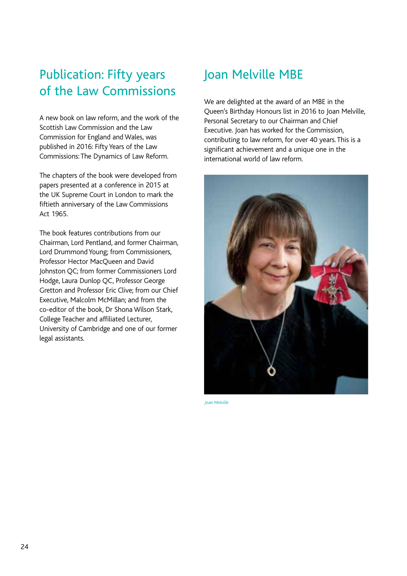# Publication: Fifty years of the Law Commissions

 Commission for England and Wales, was A new book on law reform, and the work of the Scottish Law Commission and the Law published in 2016: Fifty Years of the Law Commissions: The Dynamics of Law Reform.

The chapters of the book were developed from papers presented at a conference in 2015 at the UK Supreme Court in London to mark the fiftieth anniversary of the Law Commissions Act 1965.

The book features contributions from our Chairman, Lord Pentland, and former Chairman, Lord Drummond Young; from Commissioners, Professor Hector MacQueen and David Johnston QC; from former Commissioners Lord Hodge, Laura Dunlop QC, Professor George Gretton and Professor Eric Clive; from our Chief Executive, Malcolm McMillan; and from the co-editor of the book, Dr Shona Wilson Stark, College Teacher and affiliated Lecturer, University of Cambridge and one of our former legal assistants.

# Joan Melville MBE

We are delighted at the award of an MBE in the Queen's Birthday Honours list in 2016 to Joan Melville, Personal Secretary to our Chairman and Chief Executive. Joan has worked for the Commission, contributing to law reform, for over 40 years. This is a significant achievement and a unique one in the international world of law reform.



*Joan Melville*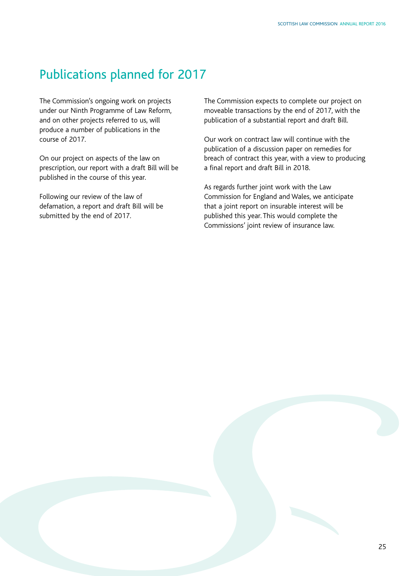# Publications planned for 2017

The Commission's ongoing work on projects under our Ninth Programme of Law Reform, and on other projects referred to us, will produce a number of publications in the course of 2017.

On our project on aspects of the law on prescription, our report with a draft Bill will be published in the course of this year.

Following our review of the law of defamation, a report and draft Bill will be submitted by the end of 2017.

The Commission expects to complete our project on moveable transactions by the end of 2017, with the publication of a substantial report and draft Bill.

Our work on contract law will continue with the publication of a discussion paper on remedies for breach of contract this year, with a view to producing a final report and draft Bill in 2018.

As regards further joint work with the Law Commission for England and Wales, we anticipate that a joint report on insurable interest will be published this year. This would complete the Commissions' joint review of insurance law.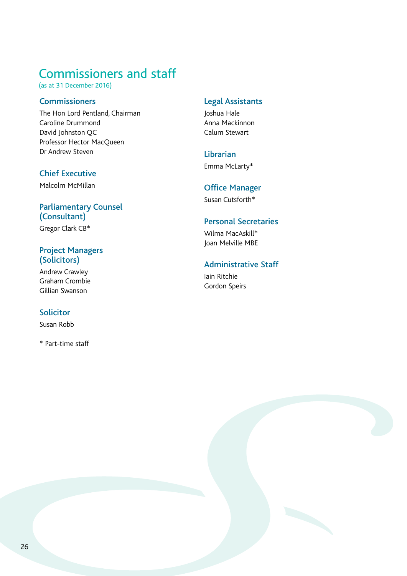# Commissioners and staff

(as at 31 December 2016)

#### **Commissioners**

The Hon Lord Pentland, Chairman Caroline Drummond David Johnston OC Professor Hector MacQueen Dr Andrew Steven

#### Chief Executive

Malcolm McMillan

### Parliamentary Counsel (Consultant) Gregor Clark CB\*

#### Project Managers (Solicitors)

Andrew Crawley Graham Crombie Gillian Swanson

### Solicitor

Susan Robb

\* Part-time staff

#### Legal Assistants

Joshua Hale Anna Mackinnon Calum Stewart

### Librarian

Emma McLarty\*

# Office Manager

Susan Cutsforth\*

#### Personal Secretaries

Wilma MacAskill\* Joan Melville MBE

#### Administrative Staff

Iain Ritchie Gordon Speirs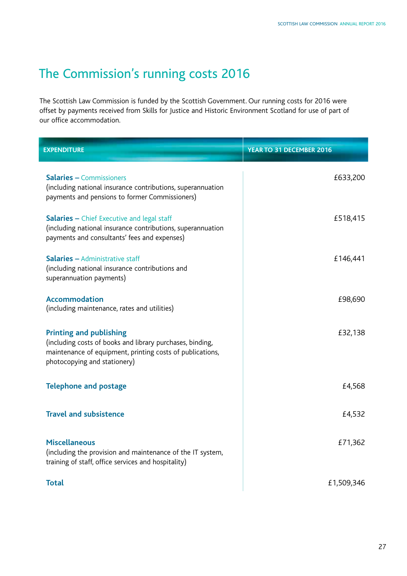# The Commission's running costs 2016

The Scottish Law Commission is funded by the Scottish Government. Our running costs for 2016 were offset by payments received from Skills for Justice and Historic Environment Scotland for use of part of our office accommodation.

| <b>EXPENDITURE</b>                                                                                                                                                                       | YEAR TO 31 DECEMBER 2016 |
|------------------------------------------------------------------------------------------------------------------------------------------------------------------------------------------|--------------------------|
| <b>Salaries - Commissioners</b><br>(including national insurance contributions, superannuation<br>payments and pensions to former Commissioners)                                         | £633,200                 |
| <b>Salaries - Chief Executive and legal staff</b><br>(including national insurance contributions, superannuation<br>payments and consultants' fees and expenses)                         | £518,415                 |
| <b>Salaries - Administrative staff</b><br>(including national insurance contributions and<br>superannuation payments)                                                                    | £146,441                 |
| <b>Accommodation</b><br>(including maintenance, rates and utilities)                                                                                                                     | £98,690                  |
| <b>Printing and publishing</b><br>(including costs of books and library purchases, binding,<br>maintenance of equipment, printing costs of publications,<br>photocopying and stationery) | £32,138                  |
| <b>Telephone and postage</b>                                                                                                                                                             | £4,568                   |
| <b>Travel and subsistence</b>                                                                                                                                                            | £4,532                   |
| <b>Miscellaneous</b><br>(including the provision and maintenance of the IT system,<br>training of staff, office services and hospitality)                                                | £71,362                  |
| <b>Total</b>                                                                                                                                                                             | £1,509,346               |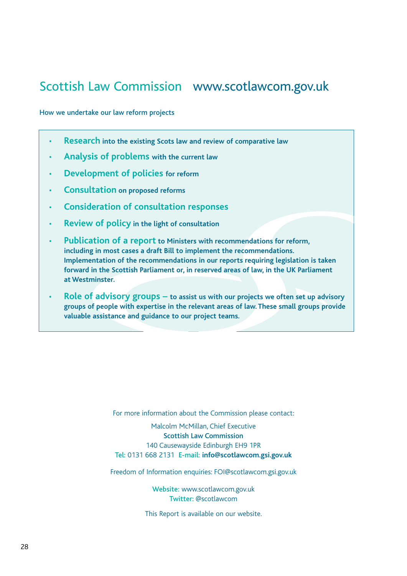# Scottish Law Commission [www.scotlawcom.gov.uk](http://www.scotlawcom.gov.uk)

How we undertake our law reform projects

- **Research into the existing Scots law and review of comparative law**
- **Analysis of problems with the current law**
- **Development of policies for reform**
- **Consultation on proposed reforms**
- **Consideration of consultation responses**
- **Review of policy in the light of consultation**
- **Publication of a report to Ministers with recommendations for reform, including in most cases a draft Bill to implement the recommendations. Implementation of the recommendations in our reports requiring legislation is taken forward in the Scottish Parliament or, in reserved areas of law, in the UK Parliament at Westminster.**
- **Role of advisory groups to assist us with our projects we often set up advisory groups of people with expertise in the relevant areas of law. These small groups provide valuable assistance and guidance to our project teams.**

For more information about the Commission please contact:

 Tel: 0131 668 2131 E-mail: **[info@scotlawcom.gsi.gov.uk](mailto:info%40scotlawcom.gsi.gov.uk?subject=)** � Malcolm McMillan, Chief Executive Scottish Law Commission 140 Causewayside Edinburgh EH9 1PR

Freedom of Information enquiries: [FOI@scotlawcom.gsi.gov.uk](mailto:FOI%40scotlawcom.gsi.gov.uk?subject=)

Website: [www.scotlawcom.gov.uk](http://www.scotlawcom.gov.uk) Twitter: @scotlawcom

This Report is available on our website.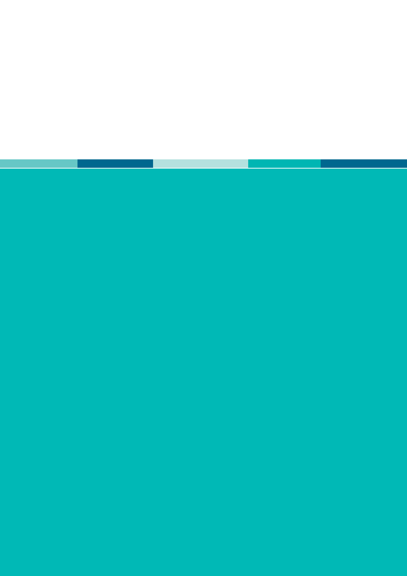